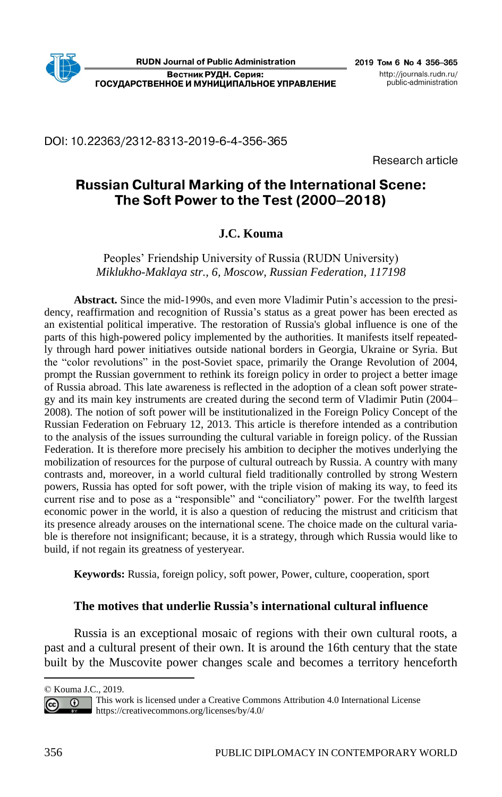# DOI: 10.22363/2312-8313-2019-6-4-356-365

Research article

# **Russian Cultural Marking of the International Scene:** The Soft Power to the Test (2000-2018)

# **J.C. Kouma**

Peoples' Friendship University of Russia (RUDN University) *Miklukho-Maklaya str., 6, Moscow, Russian Federation, 117198*

**Abstract.** Since the mid-1990s, and even more Vladimir Putin's accession to the presidency, reaffirmation and recognition of Russia's status as a great power has been erected as an existential political imperative. The restoration of Russia's global influence is one of the parts of this high-powered policy implemented by the authorities. It manifests itself repeatedly through hard power initiatives outside national borders in Georgia, Ukraine or Syria. But the "color revolutions" in the post-Soviet space, primarily the Orange Revolution of 2004, prompt the Russian government to rethink its foreign policy in order to project a better image of Russia abroad. This late awareness is reflected in the adoption of a clean soft power strategy and its main key instruments are created during the second term of Vladimir Putin (2004– 2008). The notion of soft power will be institutionalized in the Foreign Policy Concept of the Russian Federation on February 12, 2013. This article is therefore intended as a contribution to the analysis of the issues surrounding the cultural variable in foreign policy. of the Russian Federation. It is therefore more precisely his ambition to decipher the motives underlying the mobilization of resources for the purpose of cultural outreach by Russia. A country with many contrasts and, moreover, in a world cultural field traditionally controlled by strong Western powers, Russia has opted for soft power, with the triple vision of making its way, to feed its current rise and to pose as a "responsible" and "conciliatory" power. For the twelfth largest economic power in the world, it is also a question of reducing the mistrust and criticism that its presence already arouses on the international scene. The choice made on the cultural variable is therefore not insignificant; because, it is a strategy, through which Russia would like to build, if not regain its greatness of yesteryear.

**Keywords:** Russia, foreign policy, soft power, Power, culture, cooperation, sport

### **The motives that underlie Russia's international cultural influence**

Russia is an exceptional mosaic of regions with their own cultural roots, a past and a cultural present of their own. It is around the 16th century that the state built by the Muscovite power changes scale and becomes a territory henceforth

<sup>©</sup> Kouma J.C., 2019.

This work is licensed under a Creative Commons Attribution 4.0 International License  $\odot$ Cc<sub>c</sub> <https://creativecommons.org/licenses/by/4.0/>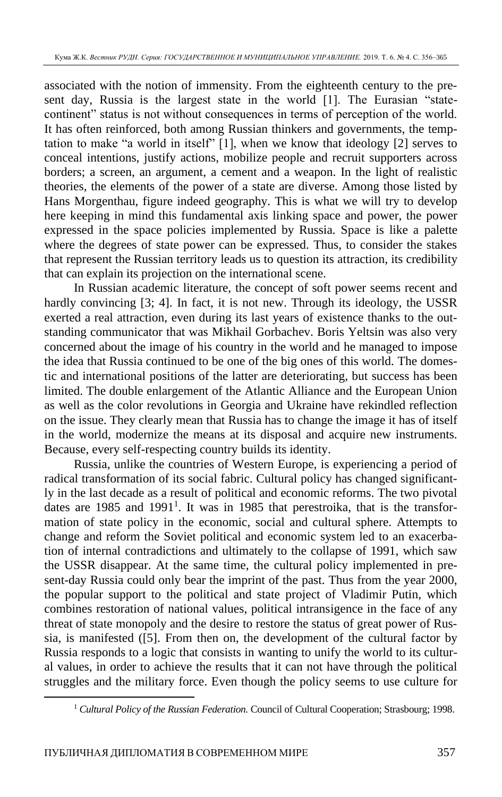associated with the notion of immensity. From the eighteenth century to the present day, Russia is the largest state in the world [1]. The Eurasian "statecontinent" status is not without consequences in terms of perception of the world. It has often reinforced, both among Russian thinkers and governments, the temptation to make "a world in itself" [1], when we know that ideology [2] serves to conceal intentions, justify actions, mobilize people and recruit supporters across borders; a screen, an argument, a cement and a weapon. In the light of realistic theories, the elements of the power of a state are diverse. Among those listed by Hans Morgenthau, figure indeed geography. This is what we will try to develop here keeping in mind this fundamental axis linking space and power, the power expressed in the space policies implemented by Russia. Space is like a palette where the degrees of state power can be expressed. Thus, to consider the stakes that represent the Russian territory leads us to question its attraction, its credibility that can explain its projection on the international scene.

In Russian academic literature, the concept of soft power seems recent and hardly convincing [3; 4]. In fact, it is not new. Through its ideology, the USSR exerted a real attraction, even during its last years of existence thanks to the outstanding communicator that was Mikhail Gorbachev. Boris Yeltsin was also very concerned about the image of his country in the world and he managed to impose the idea that Russia continued to be one of the big ones of this world. The domestic and international positions of the latter are deteriorating, but success has been limited. The double enlargement of the Atlantic Alliance and the European Union as well as the color revolutions in Georgia and Ukraine have rekindled reflection on the issue. They clearly mean that Russia has to change the image it has of itself in the world, modernize the means at its disposal and acquire new instruments. Because, every self-respecting country builds its identity.

Russia, unlike the countries of Western Europe, is experiencing a period of radical transformation of its social fabric. Cultural policy has changed significantly in the last decade as a result of political and economic reforms. The two pivotal dates are 1985 and 1991<sup>1</sup>. It was in 1985 that perestroika, that is the transformation of state policy in the economic, social and cultural sphere. Attempts to change and reform the Soviet political and economic system led to an exacerbation of internal contradictions and ultimately to the collapse of 1991, which saw the USSR disappear. At the same time, the cultural policy implemented in present-day Russia could only bear the imprint of the past. Thus from the year 2000, the popular support to the political and state project of Vladimir Putin, which combines restoration of national values, political intransigence in the face of any threat of state monopoly and the desire to restore the status of great power of Russia, is manifested ([5]. From then on, the development of the cultural factor by Russia responds to a logic that consists in wanting to unify the world to its cultural values, in order to achieve the results that it can not have through the political struggles and the military force. Even though the policy seems to use culture for

<sup>&</sup>lt;sup>1</sup> Cultural Policy of the Russian Federation. Council of Cultural Cooperation; Strasbourg; 1998.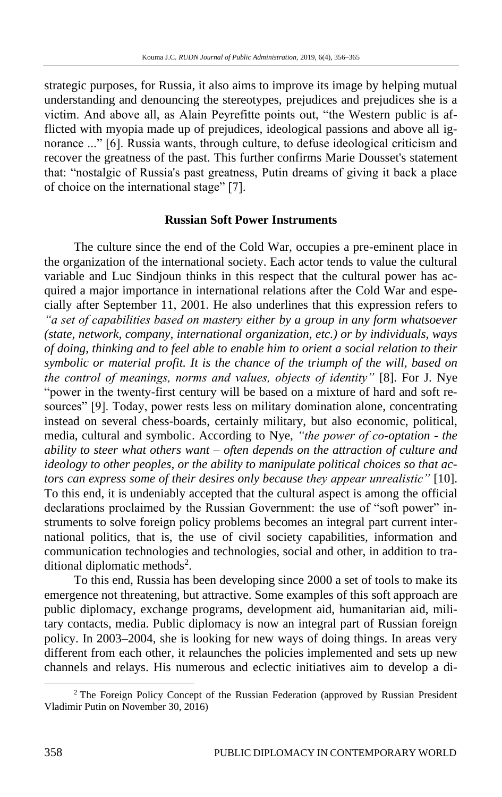strategic purposes, for Russia, it also aims to improve its image by helping mutual understanding and denouncing the stereotypes, prejudices and prejudices she is a victim. And above all, as Alain Peyrefitte points out, "the Western public is afflicted with myopia made up of prejudices, ideological passions and above all ignorance ..." [6]. Russia wants, through culture, to defuse ideological criticism and recover the greatness of the past. This further confirms Marie Dousset's statement that: "nostalgic of Russia's past greatness, Putin dreams of giving it back a place of choice on the international stage" [7].

#### **Russian Soft Power Instruments**

The culture since the end of the Cold War, occupies a pre-eminent place in the organization of the international society. Each actor tends to value the cultural variable and Luc Sindjoun thinks in this respect that the cultural power has acquired a major importance in international relations after the Cold War and especially after September 11, 2001. He also underlines that this expression refers to *"a set of capabilities based on mastery either by a group in any form whatsoever (state, network, company, international organization, etc.) or by individuals, ways of doing, thinking and to feel able to enable him to orient a social relation to their symbolic or material profit. It is the chance of the triumph of the will, based on the control of meanings, norms and values, objects of identity"* [8]. For J. Nye "power in the twenty-first century will be based on a mixture of hard and soft resources" [9]. Today, power rests less on military domination alone, concentrating instead on several chess-boards, certainly military, but also economic, political, media, cultural and symbolic. According to Nye, *"the power of co-optation - the ability to steer what others want – often depends on the attraction of culture and ideology to other peoples, or the ability to manipulate political choices so that actors can express some of their desires only because they appear unrealistic"* [10]. To this end, it is undeniably accepted that the cultural aspect is among the official declarations proclaimed by the Russian Government: the use of "soft power" instruments to solve foreign policy problems becomes an integral part current international politics, that is, the use of civil society capabilities, information and communication technologies and technologies, social and other, in addition to traditional diplomatic methods<sup>2</sup>.

To this end, Russia has been developing since 2000 a set of tools to make its emergence not threatening, but attractive. Some examples of this soft approach are public diplomacy, exchange programs, development aid, humanitarian aid, military contacts, media. Public diplomacy is now an integral part of Russian foreign policy. In 2003–2004, she is looking for new ways of doing things. In areas very different from each other, it relaunches the policies implemented and sets up new channels and relays. His numerous and eclectic initiatives aim to develop a di-

<sup>&</sup>lt;sup>2</sup> The Foreign Policy Concept of the Russian Federation (approved by Russian President Vladimir Putin on November 30, 2016)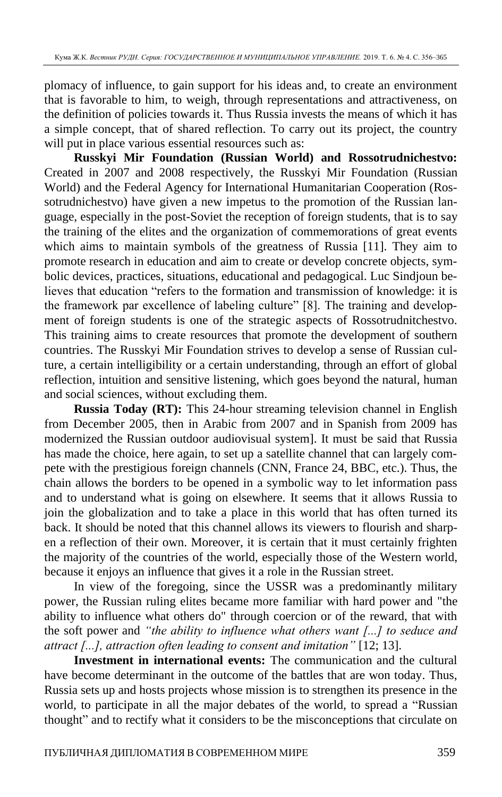plomacy of influence, to gain support for his ideas and, to create an environment that is favorable to him, to weigh, through representations and attractiveness, on the definition of policies towards it. Thus Russia invests the means of which it has a simple concept, that of shared reflection. To carry out its project, the country will put in place various essential resources such as:

**Russkyi Mir Foundation (Russian World) and Rossotrudnichestvo:**  Created in 2007 and 2008 respectively, the Russkyi Mir Foundation (Russian World) and the Federal Agency for International Humanitarian Cooperation (Rossotrudnichestvo) have given a new impetus to the promotion of the Russian language, especially in the post-Soviet the reception of foreign students, that is to say the training of the elites and the organization of commemorations of great events which aims to maintain symbols of the greatness of Russia [11]. They aim to promote research in education and aim to create or develop concrete objects, symbolic devices, practices, situations, educational and pedagogical. Luc Sindjoun believes that education "refers to the formation and transmission of knowledge: it is the framework par excellence of labeling culture" [8]. The training and development of foreign students is one of the strategic aspects of Rossotrudnitchestvo. This training aims to create resources that promote the development of southern countries. The Russkyi Mir Foundation strives to develop a sense of Russian culture, a certain intelligibility or a certain understanding, through an effort of global reflection, intuition and sensitive listening, which goes beyond the natural, human and social sciences, without excluding them.

**Russia Today (RT):** This 24-hour streaming television channel in English from December 2005, then in Arabic from 2007 and in Spanish from 2009 has modernized the Russian outdoor audiovisual system]. It must be said that Russia has made the choice, here again, to set up a satellite channel that can largely compete with the prestigious foreign channels (CNN, France 24, BBC, etc.). Thus, the chain allows the borders to be opened in a symbolic way to let information pass and to understand what is going on elsewhere. It seems that it allows Russia to join the globalization and to take a place in this world that has often turned its back. It should be noted that this channel allows its viewers to flourish and sharpen a reflection of their own. Moreover, it is certain that it must certainly frighten the majority of the countries of the world, especially those of the Western world, because it enjoys an influence that gives it a role in the Russian street.

In view of the foregoing, since the USSR was a predominantly military power, the Russian ruling elites became more familiar with hard power and "the ability to influence what others do" through coercion or of the reward, that with the soft power and *"the ability to influence what others want [...] to seduce and attract [...], attraction often leading to consent and imitation"* [12; 13].

**Investment in international events:** The communication and the cultural have become determinant in the outcome of the battles that are won today. Thus, Russia sets up and hosts projects whose mission is to strengthen its presence in the world, to participate in all the major debates of the world, to spread a "Russian thought" and to rectify what it considers to be the misconceptions that circulate on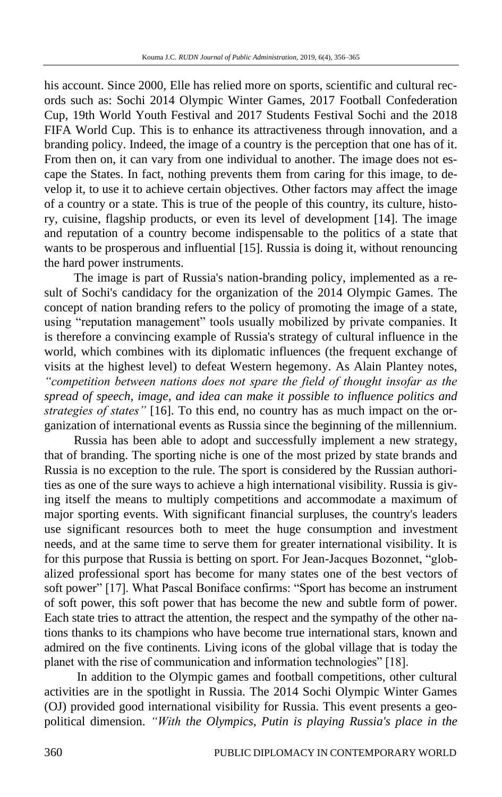his account. Since 2000, Elle has relied more on sports, scientific and cultural records such as: Sochi 2014 Olympic Winter Games, 2017 Football Confederation Cup, 19th World Youth Festival and 2017 Students Festival Sochi and the 2018 FIFA World Cup. This is to enhance its attractiveness through innovation, and a branding policy. Indeed, the image of a country is the perception that one has of it. From then on, it can vary from one individual to another. The image does not escape the States. In fact, nothing prevents them from caring for this image, to develop it, to use it to achieve certain objectives. Other factors may affect the image of a country or a state. This is true of the people of this country, its culture, history, cuisine, flagship products, or even its level of development [14]. The image and reputation of a country become indispensable to the politics of a state that wants to be prosperous and influential [15]. Russia is doing it, without renouncing the hard power instruments.

The image is part of Russia's nation-branding policy, implemented as a result of Sochi's candidacy for the organization of the 2014 Olympic Games. The concept of nation branding refers to the policy of promoting the image of a state, using "reputation management" tools usually mobilized by private companies. It is therefore a convincing example of Russia's strategy of cultural influence in the world, which combines with its diplomatic influences (the frequent exchange of visits at the highest level) to defeat Western hegemony. As Alain Plantey notes, *"competition between nations does not spare the field of thought insofar as the spread of speech, image, and idea can make it possible to influence politics and strategies of states"* [16]. To this end, no country has as much impact on the organization of international events as Russia since the beginning of the millennium.

Russia has been able to adopt and successfully implement a new strategy, that of branding. The sporting niche is one of the most prized by state brands and Russia is no exception to the rule. The sport is considered by the Russian authorities as one of the sure ways to achieve a high international visibility. Russia is giving itself the means to multiply competitions and accommodate a maximum of major sporting events. With significant financial surpluses, the country's leaders use significant resources both to meet the huge consumption and investment needs, and at the same time to serve them for greater international visibility. It is for this purpose that Russia is betting on sport. For Jean-Jacques Bozonnet, "globalized professional sport has become for many states one of the best vectors of soft power" [17]. What Pascal Boniface confirms: "Sport has become an instrument of soft power, this soft power that has become the new and subtle form of power. Each state tries to attract the attention, the respect and the sympathy of the other nations thanks to its champions who have become true international stars, known and admired on the five continents. Living icons of the global village that is today the planet with the rise of communication and information technologies" [18].

In addition to the Olympic games and football competitions, other cultural activities are in the spotlight in Russia. The 2014 Sochi Olympic Winter Games (OJ) provided good international visibility for Russia. This event presents a geopolitical dimension. *"With the Olympics, Putin is playing Russia's place in the*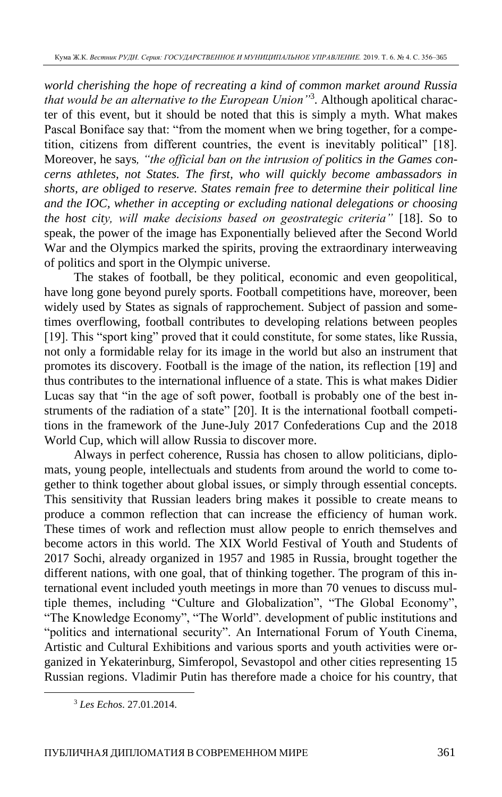*world cherishing the hope of recreating a kind of common market around Russia that would be an alternative to the European Union"*<sup>3</sup> *.* Although apolitical character of this event, but it should be noted that this is simply a myth. What makes Pascal Boniface say that: "from the moment when we bring together, for a competition, citizens from different countries, the event is inevitably political" [18]. Moreover, he says*, "the official ban on the intrusion of politics in the Games concerns athletes, not States. The first, who will quickly become ambassadors in shorts, are obliged to reserve. States remain free to determine their political line and the IOC, whether in accepting or excluding national delegations or choosing the host city, will make decisions based on geostrategic criteria"* [18]. So to speak, the power of the image has Exponentially believed after the Second World War and the Olympics marked the spirits, proving the extraordinary interweaving of politics and sport in the Olympic universe.

The stakes of football, be they political, economic and even geopolitical, have long gone beyond purely sports. Football competitions have, moreover, been widely used by States as signals of rapprochement. Subject of passion and sometimes overflowing, football contributes to developing relations between peoples [19]. This "sport king" proved that it could constitute, for some states, like Russia, not only a formidable relay for its image in the world but also an instrument that promotes its discovery. Football is the image of the nation, its reflection [19] and thus contributes to the international influence of a state. This is what makes Didier Lucas say that "in the age of soft power, football is probably one of the best instruments of the radiation of a state" [20]. It is the international football competitions in the framework of the June-July 2017 Confederations Cup and the 2018 World Cup, which will allow Russia to discover more.

Always in perfect coherence, Russia has chosen to allow politicians, diplomats, young people, intellectuals and students from around the world to come together to think together about global issues, or simply through essential concepts. This sensitivity that Russian leaders bring makes it possible to create means to produce a common reflection that can increase the efficiency of human work. These times of work and reflection must allow people to enrich themselves and become actors in this world. The XIX World Festival of Youth and Students of 2017 Sochi, already organized in 1957 and 1985 in Russia, brought together the different nations, with one goal, that of thinking together. The program of this international event included youth meetings in more than 70 venues to discuss multiple themes, including "Culture and Globalization", "The Global Economy", "The Knowledge Economy", "The World". development of public institutions and "politics and international security". An International Forum of Youth Cinema, Artistic and Cultural Exhibitions and various sports and youth activities were organized in Yekaterinburg, Simferopol, Sevastopol and other cities representing 15 Russian regions. Vladimir Putin has therefore made a choice for his country, that

<sup>3</sup> *Les Echos*. 27.01.2014.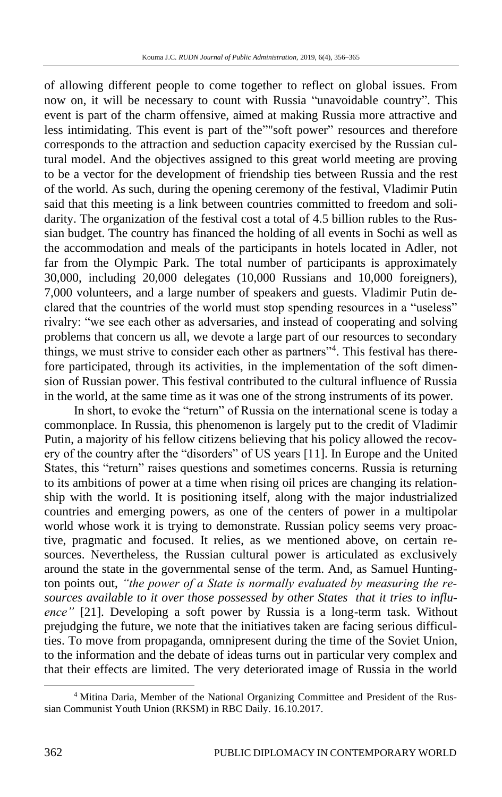of allowing different people to come together to reflect on global issues. From now on, it will be necessary to count with Russia "unavoidable country". This event is part of the charm offensive, aimed at making Russia more attractive and less intimidating. This event is part of the""soft power" resources and therefore corresponds to the attraction and seduction capacity exercised by the Russian cultural model. And the objectives assigned to this great world meeting are proving to be a vector for the development of friendship ties between Russia and the rest of the world. As such, during the opening ceremony of the festival, Vladimir Putin said that this meeting is a link between countries committed to freedom and solidarity. The organization of the festival cost a total of 4.5 billion rubles to the Russian budget. The country has financed the holding of all events in Sochi as well as the accommodation and meals of the participants in hotels located in Adler, not far from the Olympic Park. The total number of participants is approximately 30,000, including 20,000 delegates (10,000 Russians and 10,000 foreigners), 7,000 volunteers, and a large number of speakers and guests. Vladimir Putin declared that the countries of the world must stop spending resources in a "useless" rivalry: "we see each other as adversaries, and instead of cooperating and solving problems that concern us all, we devote a large part of our resources to secondary things, we must strive to consider each other as partners"<sup>4</sup>. This festival has therefore participated, through its activities, in the implementation of the soft dimension of Russian power. This festival contributed to the cultural influence of Russia in the world, at the same time as it was one of the strong instruments of its power.

In short, to evoke the "return" of Russia on the international scene is today a commonplace. In Russia, this phenomenon is largely put to the credit of Vladimir Putin, a majority of his fellow citizens believing that his policy allowed the recovery of the country after the "disorders" of US years [11]. In Europe and the United States, this "return" raises questions and sometimes concerns. Russia is returning to its ambitions of power at a time when rising oil prices are changing its relationship with the world. It is positioning itself, along with the major industrialized countries and emerging powers, as one of the centers of power in a multipolar world whose work it is trying to demonstrate. Russian policy seems very proactive, pragmatic and focused. It relies, as we mentioned above, on certain resources. Nevertheless, the Russian cultural power is articulated as exclusively around the state in the governmental sense of the term. And, as Samuel Huntington points out, *"the power of a State is normally evaluated by measuring the resources available to it over those possessed by other States that it tries to influence"* [21]. Developing a soft power by Russia is a long-term task. Without prejudging the future, we note that the initiatives taken are facing serious difficulties. To move from propaganda, omnipresent during the time of the Soviet Union, to the information and the debate of ideas turns out in particular very complex and that their effects are limited. The very deteriorated image of Russia in the world

<sup>4</sup> Mitina Daria, Member of the National Organizing Committee and President of the Russian Communist Youth Union (RKSM) in RBC Daily. 16.10.2017.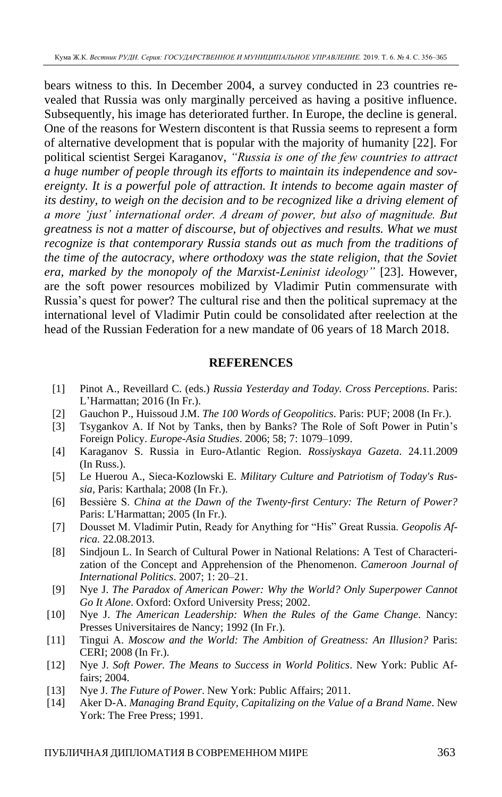bears witness to this. In December 2004, a survey conducted in 23 countries revealed that Russia was only marginally perceived as having a positive influence. Subsequently, his image has deteriorated further. In Europe, the decline is general. One of the reasons for Western discontent is that Russia seems to represent a form of alternative development that is popular with the majority of humanity [22]. For political scientist Sergei Karaganov, *"Russia is one of the few countries to attract a huge number of people through its efforts to maintain its independence and sovereignty. It is a powerful pole of attraction. It intends to become again master of its destiny, to weigh on the decision and to be recognized like a driving element of a more 'just' international order. A dream of power, but also of magnitude. But greatness is not a matter of discourse, but of objectives and results. What we must recognize is that contemporary Russia stands out as much from the traditions of the time of the autocracy, where orthodoxy was the state religion, that the Soviet era, marked by the monopoly of the Marxist-Leninist ideology"* [23]. However, are the soft power resources mobilized by Vladimir Putin commensurate with Russia's quest for power? The cultural rise and then the political supremacy at the international level of Vladimir Putin could be consolidated after reelection at the head of the Russian Federation for a new mandate of 06 years of 18 March 2018.

#### **REFERENCES**

- [1] Pinot A., Reveillard C. (eds.) *Russia Yesterday and Today. Cross Perceptions*. Paris: L'Harmattan; 2016 (In Fr.).
- [2] Gauchon P., Huissoud J.M. *The 100 Words of Geopolitics*. Paris: PUF; 2008 (In Fr.).
- [3] Tsygankov A. If Not by Tanks, then by Banks? The Role of Soft Power in Putin's Foreign Policy. *Europe-Asia Studies*. 2006; 58; 7: 1079–1099.
- [4] Karaganov S. Russia in Euro-Atlantic Region. *Rossiyskaya Gazeta*. 24.11.2009 (In Russ.).
- [5] Le Huerou A., Sieca-Kozlowski E. *Military Culture and Patriotism of Today's Russia*, Paris: Karthala; 2008 (In Fr.).
- [6] Bessière S. *China at the Dawn of the Twenty-first Century: The Return of Power?* Paris: L'Harmattan; 2005 (In Fr.).
- [7] Dousset M. Vladimir Putin, Ready for Anything for "His" Great Russia. *Geopolis Africa*. 22.08.2013.
- [8] Sindjoun L. In Search of Cultural Power in National Relations: A Test of Characterization of the Concept and Apprehension of the Phenomenon. *Cameroon Journal of International Politics*. 2007; 1: 20–21.
- [9] Nye J. *The Paradox of American Power: Why the World? Only Superpower Cannot Go It Alone*. Oxford: Oxford University Press; 2002.
- [10] Nye J. *The American Leadership: When the Rules of the Game Change*. Nancy: Presses Universitaires de Nancy; 1992 (In Fr.).
- [11] Tingui A. *Moscow and the World: The Ambition of Greatness: An Illusion?* Paris: CERI; 2008 (In Fr.).
- [12] Nye J. *Soft Power. The Means to Success in World Politics*. New York: Public Affairs; 2004.
- [13] Nye J. *The Future of Power*. New York: Public Affairs; 2011.
- [14] Aker D-A. *Managing Brand Equity, Capitalizing on the Value of a Brand Name*. New York: The Free Press; 1991.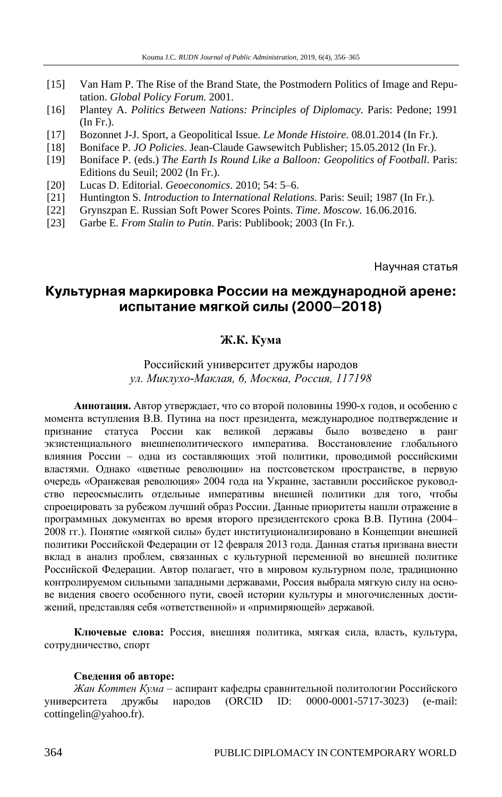- [15] Van Ham P. The Rise of the Brand State, the Postmodern Politics of Image and Reputation. *Global Policy Forum.* 2001.
- [16] Plantey A. *Politics Between Nations: Principles of Diplomacy.* Paris: Pedone; 1991 (In Fr.).
- [17] Bozonnet J-J. Sport, a Geopolitical Issue. *Le Monde Histoire*. 08.01.2014 (In Fr.).
- [18] Boniface P. *JO Policies*. Jean-Claude Gawsewitch Publisher; 15.05.2012 (In Fr.).
- [19] Boniface P. (eds.) *The Earth Is Round Like a Balloon: Geopolitics of Football*. Paris: Editions du Seuil; 2002 (In Fr.).
- [20] Lucas D. Editorial. *Geoeconomics*. 2010; 54: 5–6.
- [21] Huntington S. *Introduction to International Relations*. Paris: Seuil; 1987 (In Fr.).
- [22] Grynszpan E. Russian Soft Power Scores Points. *Time*. *Moscow.* 16.06.2016.
- [23] Garbe E. *From Stalin to Putin*. Paris: Publibook; 2003 (In Fr.).

Научная статья

## Культурная маркировка России на международной арене: испытание мягкой силы (2000-2018)

### **Ж.К. Кума**

### Российский университет дружбы народов *ул. Миклухо-Маклая, 6, Москва, Россия, 117198*

**Аннотация.** Автор утверждает, что со второй половины 1990-х годов, и особенно с момента вступления В.В. Путина на пост президента, международное подтверждение и признание статуса России как великой державы было возведено в ранг экзистенциального внешнеполитического императива. Восстановление глобального влияния России – одна из составляющих этой политики, проводимой российскими властями. Однако «цветные революции» на постсоветском пространстве, в первую очередь «Оранжевая революция» 2004 года на Украине, заставили российское руководство переосмыслить отдельные императивы внешней политики для того, чтобы спроецировать за рубежом лучший образ России. Данные приоритеты нашли отражение в программных документах во время второго президентского срока В.В. Путина (2004– 2008 гг.). Понятие «мягкой силы» будет институционализировано в Концепции внешней политики Российской Федерации от 12 февраля 2013 года. Данная статья призвана внести вклад в анализ проблем, связанных с культурной переменной во внешней политике Российской Федерации. Автор полагает, что в мировом культурном поле, традиционно контролируемом сильными западными державами, Россия выбрала мягкую силу на основе видения своего особенного пути, своей истории культуры и многочисленных достижений, представляя себя «ответственной» и «примиряющей» державой.

**Ключевые слова:** Россия, внешняя политика, мягкая сила, власть, культура, сотрудничество, спорт

#### **Сведения об авторе:**

*Жан Коттен Кума* – аспирант кафедры сравнительной политологии Российского университета дружбы народов (ORCID ID: 0000-0001-5717-3023) (e-mail: cottingelin@yahoo.fr).